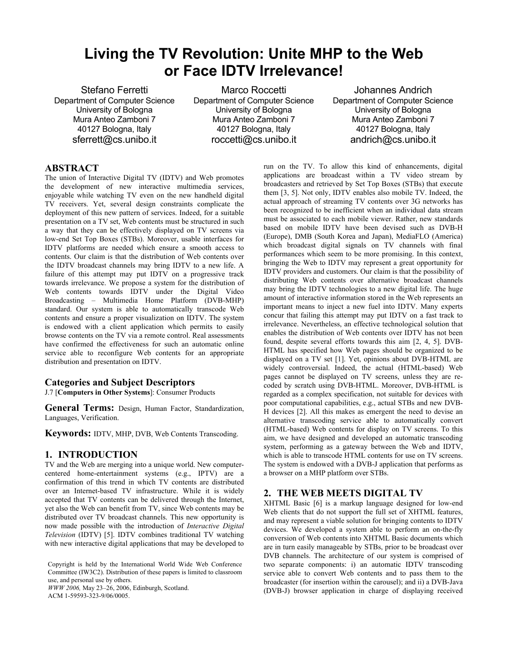# **Living the TV Revolution: Unite MHP to the Web or Face IDTV Irrelevance!**

Stefano Ferretti Department of Computer Science University of Bologna Mura Anteo Zamboni 7 40127 Bologna, Italy sferrett@cs.unibo.it

Marco Roccetti Department of Computer Science University of Bologna Mura Anteo Zamboni 7 40127 Bologna, Italy roccetti@cs.unibo.it

Johannes Andrich Department of Computer Science University of Bologna Mura Anteo Zamboni 7 40127 Bologna, Italy andrich@cs.unibo.it

### **ABSTRACT**

The union of Interactive Digital TV (IDTV) and Web promotes the development of new interactive multimedia services, enjoyable while watching TV even on the new handheld digital TV receivers. Yet, several design constraints complicate the deployment of this new pattern of services. Indeed, for a suitable presentation on a TV set, Web contents must be structured in such a way that they can be effectively displayed on TV screens via low-end Set Top Boxes (STBs). Moreover, usable interfaces for IDTV platforms are needed which ensure a smooth access to contents. Our claim is that the distribution of Web contents over the IDTV broadcast channels may bring IDTV to a new life. A failure of this attempt may put IDTV on a progressive track towards irrelevance. We propose a system for the distribution of Web contents towards IDTV under the Digital Video Broadcasting – Multimedia Home Platform (DVB-MHP) standard. Our system is able to automatically transcode Web contents and ensure a proper visualization on IDTV. The system is endowed with a client application which permits to easily browse contents on the TV via a remote control. Real assessments have confirmed the effectiveness for such an automatic online service able to reconfigure Web contents for an appropriate distribution and presentation on IDTV.

#### **Categories and Subject Descriptors**

J.7 [**Computers in Other Systems**]: Consumer Products

**General Terms:** Design, Human Factor, Standardization, Languages, Verification.

**Keywords:** IDTV, MHP, DVB, Web Contents Transcoding.

## **1. INTRODUCTION**

TV and the Web are merging into a unique world. New computercentered home-entertainment systems (e.g., IPTV) are a confirmation of this trend in which TV contents are distributed over an Internet-based TV infrastructure. While it is widely accepted that TV contents can be delivered through the Internet, yet also the Web can benefit from TV, since Web contents may be distributed over TV broadcast channels. This new opportunity is now made possible with the introduction of *Interactive Digital Television* (IDTV) [5]. IDTV combines traditional TV watching with new interactive digital applications that may be developed to

Copyright is held by the International World Wide Web Conference Committee (IW3C2). Distribution of these papers is limited to classroom use, and personal use by others.

*WWW 2006,* May 23–26, 2006, Edinburgh, Scotland. ACM 1-59593-323-9/06/0005.

run on the TV. To allow this kind of enhancements, digital applications are broadcast within a TV video stream by broadcasters and retrieved by Set Top Boxes (STBs) that execute them [3, 5]. Not only, IDTV enables also mobile TV. Indeed, the actual approach of streaming TV contents over 3G networks has been recognized to be inefficient when an individual data stream must be associated to each mobile viewer. Rather, new standards based on mobile IDTV have been devised such as DVB-H (Europe), DMB (South Korea and Japan), MediaFLO (America) which broadcast digital signals on TV channels with final performances which seem to be more promising. In this context, bringing the Web to IDTV may represent a great opportunity for IDTV providers and customers. Our claim is that the possibility of distributing Web contents over alternative broadcast channels may bring the IDTV technologies to a new digital life. The huge amount of interactive information stored in the Web represents an important means to inject a new fuel into IDTV. Many experts concur that failing this attempt may put IDTV on a fast track to irrelevance. Nevertheless, an effective technological solution that enables the distribution of Web contents over IDTV has not been found, despite several efforts towards this aim [2, 4, 5]. DVB-HTML has specified how Web pages should be organized to be displayed on a TV set [1]. Yet, opinions about DVB-HTML are widely controversial. Indeed, the actual (HTML-based) Web pages cannot be displayed on TV screens, unless they are recoded by scratch using DVB-HTML. Moreover, DVB-HTML is regarded as a complex specification, not suitable for devices with poor computational capabilities, e.g., actual STBs and new DVB-H devices [2]. All this makes as emergent the need to devise an alternative transcoding service able to automatically convert (HTML-based) Web contents for display on TV screens. To this aim, we have designed and developed an automatic transcoding system, performing as a gateway between the Web and IDTV, which is able to transcode HTML contents for use on TV screens. The system is endowed with a DVB-J application that performs as a browser on a MHP platform over STBs.

## **2. THE WEB MEETS DIGITAL TV**

XHTML Basic [6] is a markup language designed for low-end Web clients that do not support the full set of XHTML features, and may represent a viable solution for bringing contents to IDTV devices. We developed a system able to perform an on-the-fly conversion of Web contents into XHTML Basic documents which are in turn easily manageable by STBs, prior to be broadcast over DVB channels. The architecture of our system is comprised of two separate components: i) an automatic IDTV transcoding service able to convert Web contents and to pass them to the broadcaster (for insertion within the carousel); and ii) a DVB-Java (DVB-J) browser application in charge of displaying received